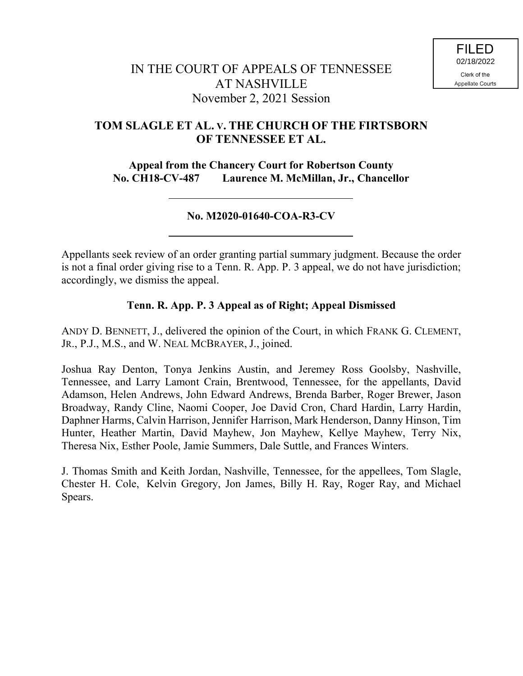# **TOM SLAGLE ET AL. V. THE CHURCH OF THE FIRTSBORN OF TENNESSEE ET AL.**

**Appeal from the Chancery Court for Robertson County No. CH18-CV-487 Laurence M. McMillan, Jr., Chancellor**

### **No. M2020-01640-COA-R3-CV**

Appellants seek review of an order granting partial summary judgment. Because the order is not a final order giving rise to a Tenn. R. App. P. 3 appeal, we do not have jurisdiction; accordingly, we dismiss the appeal.

## **Tenn. R. App. P. 3 Appeal as of Right; Appeal Dismissed**

ANDY D. BENNETT, J., delivered the opinion of the Court, in which FRANK G. CLEMENT, JR., P.J., M.S., and W. NEAL MCBRAYER, J., joined.

Joshua Ray Denton, Tonya Jenkins Austin, and Jeremey Ross Goolsby, Nashville, Tennessee, and Larry Lamont Crain, Brentwood, Tennessee, for the appellants, David Adamson, Helen Andrews, John Edward Andrews, Brenda Barber, Roger Brewer, Jason Broadway, Randy Cline, Naomi Cooper, Joe David Cron, Chard Hardin, Larry Hardin, Daphner Harms, Calvin Harrison, Jennifer Harrison, Mark Henderson, Danny Hinson, Tim Hunter, Heather Martin, David Mayhew, Jon Mayhew, Kellye Mayhew, Terry Nix, Theresa Nix, Esther Poole, Jamie Summers, Dale Suttle, and Frances Winters.

J. Thomas Smith and Keith Jordan, Nashville, Tennessee, for the appellees, Tom Slagle, Chester H. Cole, Kelvin Gregory, Jon James, Billy H. Ray, Roger Ray, and Michael Spears.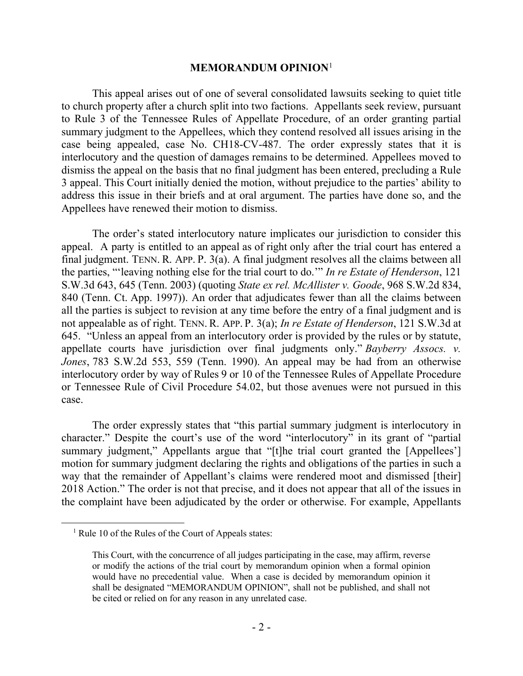#### **MEMORANDUM OPINION**<sup>1</sup>

This appeal arises out of one of several consolidated lawsuits seeking to quiet title to church property after a church split into two factions. Appellants seek review, pursuant to Rule 3 of the Tennessee Rules of Appellate Procedure, of an order granting partial summary judgment to the Appellees, which they contend resolved all issues arising in the case being appealed, case No. CH18-CV-487. The order expressly states that it is interlocutory and the question of damages remains to be determined. Appellees moved to dismiss the appeal on the basis that no final judgment has been entered, precluding a Rule 3 appeal. This Court initially denied the motion, without prejudice to the parties' ability to address this issue in their briefs and at oral argument. The parties have done so, and the Appellees have renewed their motion to dismiss.

The order's stated interlocutory nature implicates our jurisdiction to consider this appeal. A party is entitled to an appeal as of right only after the trial court has entered a final judgment. TENN. R. APP. P. 3(a). A final judgment resolves all the claims between all the parties, "'leaving nothing else for the trial court to do.'" *In re Estate of Henderson*, 121 S.W.3d 643, 645 (Tenn. 2003) (quoting *State ex rel. McAllister v. Goode*, 968 S.W.2d 834, 840 (Tenn. Ct. App. 1997)). An order that adjudicates fewer than all the claims between all the parties is subject to revision at any time before the entry of a final judgment and is not appealable as of right. TENN. R. APP. P. 3(a); *In re Estate of Henderson*, 121 S.W.3d at 645. "Unless an appeal from an interlocutory order is provided by the rules or by statute, appellate courts have jurisdiction over final judgments only." *Bayberry Assocs. v. Jones*, 783 S.W.2d 553, 559 (Tenn. 1990). An appeal may be had from an otherwise interlocutory order by way of Rules 9 or 10 of the Tennessee Rules of Appellate Procedure or Tennessee Rule of Civil Procedure 54.02, but those avenues were not pursued in this case.

The order expressly states that "this partial summary judgment is interlocutory in character." Despite the court's use of the word "interlocutory" in its grant of "partial summary judgment," Appellants argue that "[t]he trial court granted the [Appellees'] motion for summary judgment declaring the rights and obligations of the parties in such a way that the remainder of Appellant's claims were rendered moot and dismissed [their] 2018 Action." The order is not that precise, and it does not appear that all of the issues in the complaint have been adjudicated by the order or otherwise. For example, Appellants

 $\overline{a}$ 

 $<sup>1</sup>$  Rule 10 of the Rules of the Court of Appeals states:</sup>

This Court, with the concurrence of all judges participating in the case, may affirm, reverse or modify the actions of the trial court by memorandum opinion when a formal opinion would have no precedential value. When a case is decided by memorandum opinion it shall be designated "MEMORANDUM OPINION", shall not be published, and shall not be cited or relied on for any reason in any unrelated case.